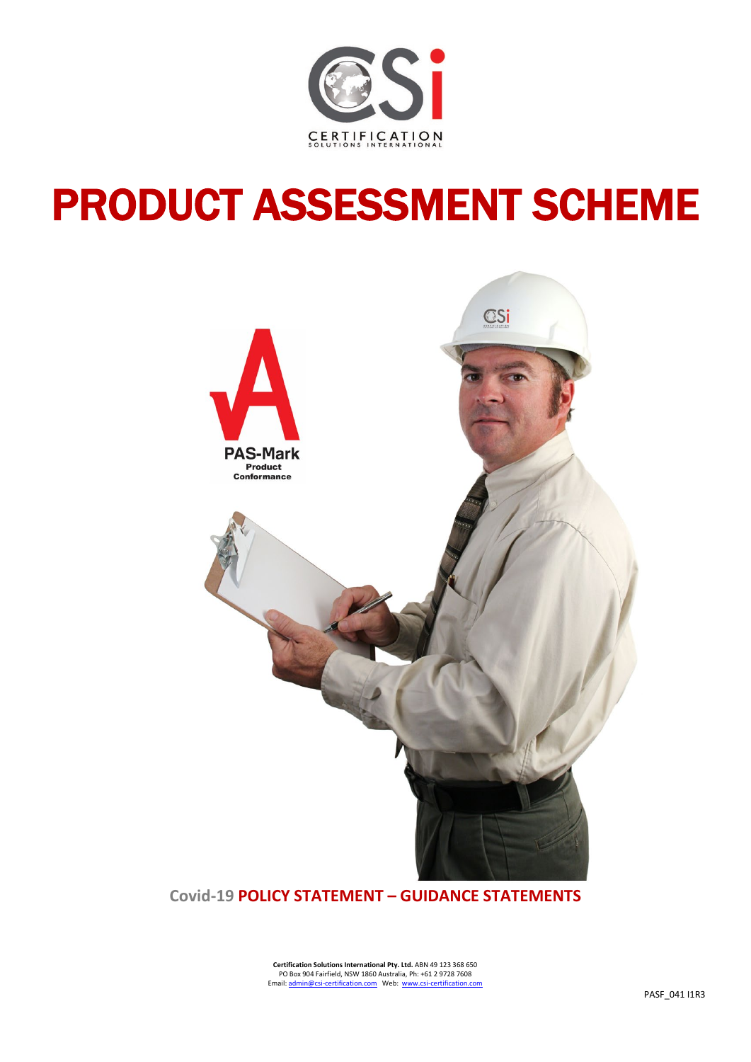

# PRODUCT ASSESSMENT SCHEME



**Covid-19 POLICY STATEMENT – GUIDANCE STATEMENTS**

**Certification Solutions International Pty. Ltd.** ABN 49 123 368 650 PO Box 904 Fairfield, NSW 1860 Australia, Ph: +61 2 9728 7608 Email: admin@csi-certification.com Web: www.csi-certification.c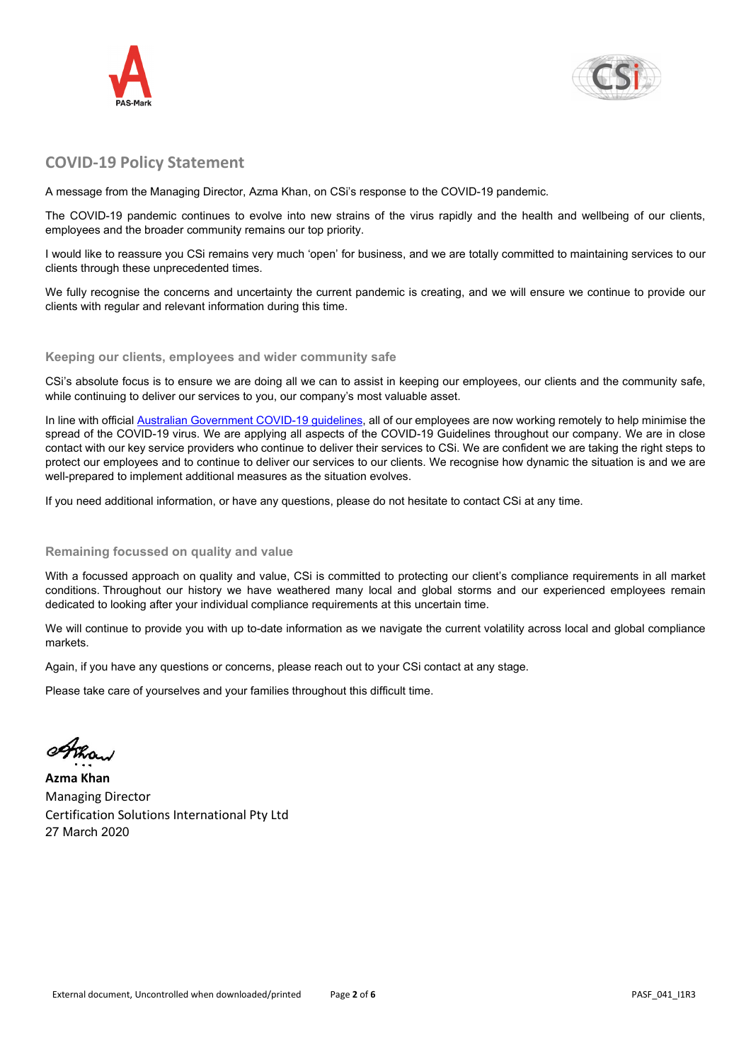



## **COVID-19 Policy Statement**

A message from the Managing Director, Azma Khan, on CSi's response to the COVID-19 pandemic.

The COVID-19 pandemic continues to evolve into new strains of the virus rapidly and the health and wellbeing of our clients, employees and the broader community remains our top priority.

I would like to reassure you CSi remains very much 'open' for business, and we are totally committed to maintaining services to our clients through these unprecedented times.

We fully recognise the concerns and uncertainty the current pandemic is creating, and we will ensure we continue to provide our clients with regular and relevant information during this time.

#### **Keeping our clients, employees and wider community safe**

CSi's absolute focus is to ensure we are doing all we can to assist in keeping our employees, our clients and the community safe, while continuing to deliver our services to you, our company's most valuable asset.

In line with official [Australian Government COVID-19 guidelines,](https://www.health.gov.au/news/health-alerts/novel-coronavirus-2019-ncov-health-alert?utm_source=health.gov.au&utm_medium=redirect&utm_campaign=digital_transformation&utm_content=health-topics/novel-coronavirus-2019-ncov) all of our employees are now working remotely to help minimise the spread of the COVID-19 virus. We are applying all aspects of the COVID-19 Guidelines throughout our company. We are in close contact with our key service providers who continue to deliver their services to CSi. We are confident we are taking the right steps to protect our employees and to continue to deliver our services to our clients. We recognise how dynamic the situation is and we are well-prepared to implement additional measures as the situation evolves.

If you need additional information, or have any questions, please do not hesitate to contact CSi at any time.

#### **Remaining focussed on quality and value**

With a focussed approach on quality and value, CSi is committed to protecting our client's compliance requirements in all market conditions. Throughout our history we have weathered many local and global storms and our experienced employees remain dedicated to looking after your individual compliance requirements at this uncertain time.

We will continue to provide you with up to-date information as we navigate the current volatility across local and global compliance markets.

Again, if you have any questions or concerns, please reach out to your CSi contact at any stage.

Please take care of yourselves and your families throughout this difficult time.

one

**Azma Khan** Managing Director Certification Solutions International Pty Ltd 27 March 2020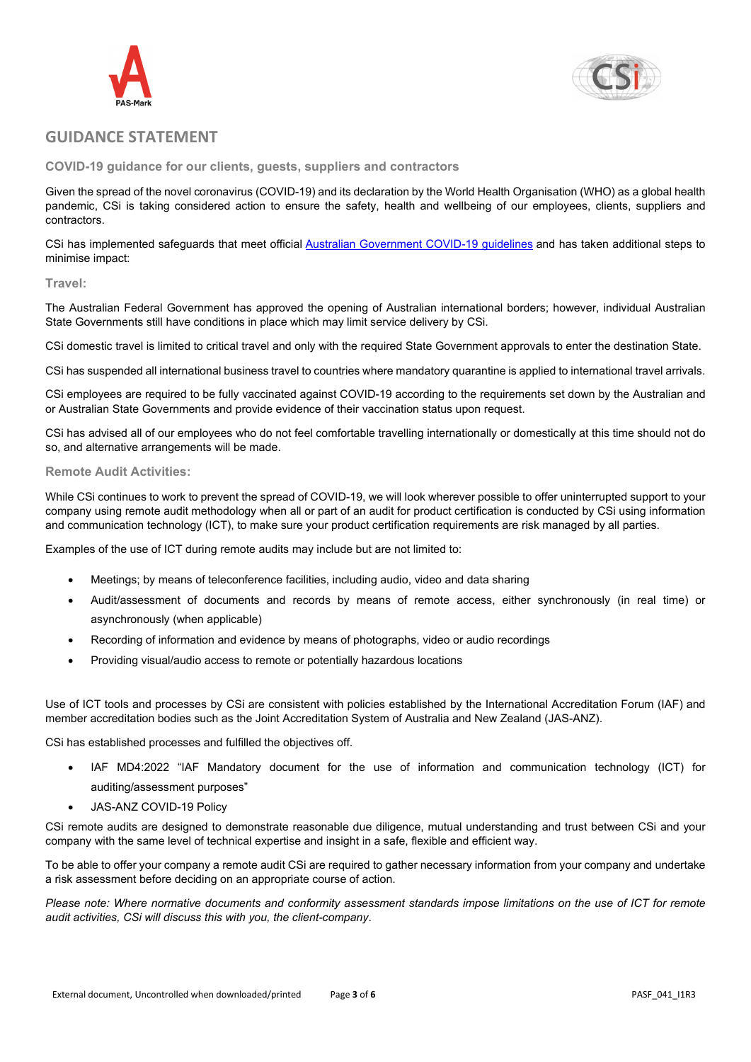



### **GUIDANCE STATEMENT**

**COVID-19 guidance for our clients, guests, suppliers and contractors**

Given the spread of the novel coronavirus (COVID-19) and its declaration by the World Health Organisation (WHO) as a global health pandemic, CSi is taking considered action to ensure the safety, health and wellbeing of our employees, clients, suppliers and contractors.

CSi has implemented safeguards that meet official [Australian Government](https://www.health.gov.au/news/health-alerts/novel-coronavirus-2019-ncov-health-alert?utm_source=health.gov.au&utm_medium=redirect&utm_campaign=digital_transformation&utm_content=health-topics/novel-coronavirus-2019-ncov) COVID-19 guidelines and has taken additional steps to minimise impact:

#### **Travel:**

The Australian Federal Government has approved the opening of Australian international borders; however, individual Australian State Governments still have conditions in place which may limit service delivery by CSi.

CSi domestic travel is limited to critical travel and only with the required State Government approvals to enter the destination State.

CSi has suspended all international business travel to countries where mandatory quarantine is applied to international travel arrivals.

CSi employees are required to be fully vaccinated against COVID-19 according to the requirements set down by the Australian and or Australian State Governments and provide evidence of their vaccination status upon request.

CSi has advised all of our employees who do not feel comfortable travelling internationally or domestically at this time should not do so, and alternative arrangements will be made.

#### **Remote Audit Activities:**

While CSi continues to work to prevent the spread of COVID-19, we will look wherever possible to offer uninterrupted support to your company using remote audit methodology when all or part of an audit for product certification is conducted by CSi using information and communication technology (ICT), to make sure your product certification requirements are risk managed by all parties.

Examples of the use of ICT during remote audits may include but are not limited to:

- Meetings; by means of teleconference facilities, including audio, video and data sharing
- Audit/assessment of documents and records by means of remote access, either synchronously (in real time) or asynchronously (when applicable)
- Recording of information and evidence by means of photographs, video or audio recordings
- Providing visual/audio access to remote or potentially hazardous locations

Use of ICT tools and processes by CSi are consistent with policies established by the International Accreditation Forum (IAF) and member accreditation bodies such as the Joint Accreditation System of Australia and New Zealand (JAS-ANZ).

CSi has established processes and fulfilled the objectives off.

- IAF MD4:2022 "IAF Mandatory document for the use of information and communication technology (ICT) for auditing/assessment purposes"
- JAS-ANZ COVID-19 Policy

CSi remote audits are designed to demonstrate reasonable due diligence, mutual understanding and trust between CSi and your company with the same level of technical expertise and insight in a safe, flexible and efficient way.

To be able to offer your company a remote audit CSi are required to gather necessary information from your company and undertake a risk assessment before deciding on an appropriate course of action.

*Please note: Where normative documents and conformity assessment standards impose limitations on the use of ICT for remote audit activities, CSi will discuss this with you, the client-company*.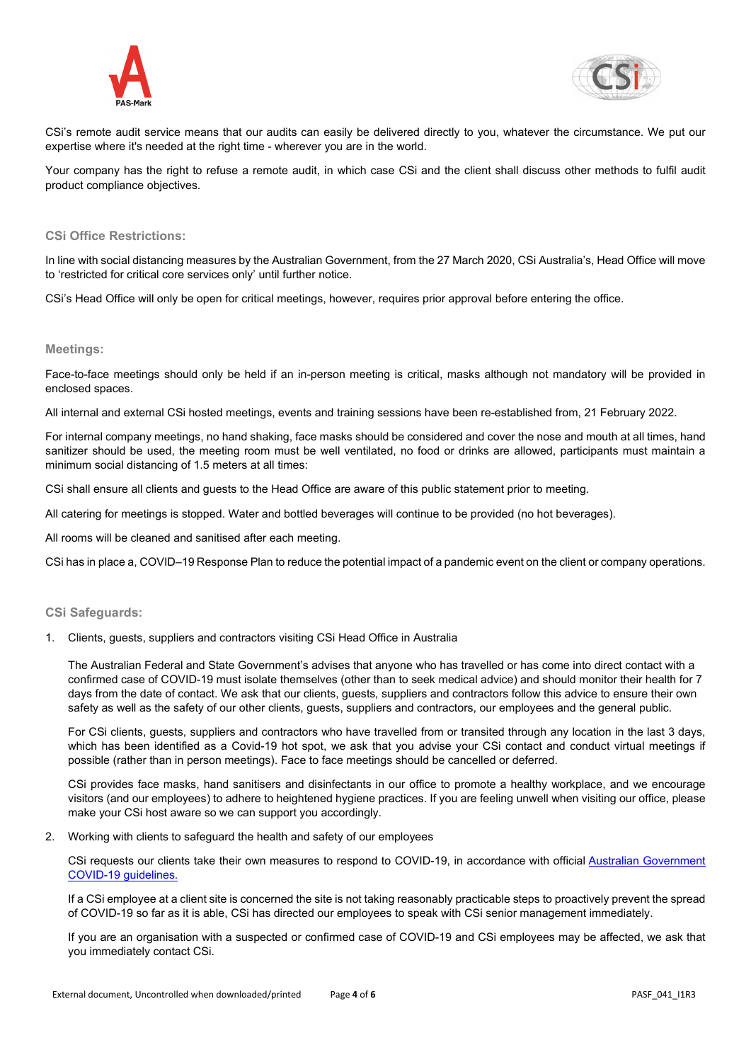



CSi's remote audit service means that our audits can easily be delivered directly to you, whatever the circumstance. We put our expertise where it's needed at the right time - wherever you are in the world.

Your company has the right to refuse a remote audit, in which case CSi and the client shall discuss other methods to fulfil audit product compliance objectives.

#### **CSi Office Restrictions:**

In line with social distancing measures by the Australian Government, from the 27 March 2020, CSi Australia's, Head Office will move to 'restricted for critical core services only' until further notice.

CSi's Head Office will only be open for critical meetings, however, requires prior approval before entering the office.

#### **Meetings:**

Face-to-face meetings should only be held if an in-person meeting is critical, masks although not mandatory will be provided in enclosed spaces.

All internal and external CSi hosted meetings, events and training sessions have been re-established from, 21 February 2022.

For internal company meetings, no hand shaking, face masks should be considered and cover the nose and mouth at all times, hand sanitizer should be used, the meeting room must be well ventilated, no food or drinks are allowed, participants must maintain a minimum social distancing of 1.5 meters at all times:

CSi shall ensure all clients and guests to the Head Office are aware of this public statement prior to meeting.

All catering for meetings is stopped. Water and bottled beverages will continue to be provided (no hot beverages).

All rooms will be cleaned and sanitised after each meeting.

CSi has in place a, COVID–19 Response Plan to reduce the potential impact of a pandemic event on the client or company operations.

#### **CSi Safeguards:**

1. Clients, guests, suppliers and contractors visiting CSi Head Office in Australia

The Australian Federal and State Government's advises that anyone who has travelled or has come into direct contact with a confirmed case of COVID-19 must isolate themselves (other than to seek medical advice) and should monitor their health for 7 days from the date of contact. We ask that our clients, guests, suppliers and contractors follow this advice to ensure their own safety as well as the safety of our other clients, guests, suppliers and contractors, our employees and the general public.

For CSi clients, guests, suppliers and contractors who have travelled from or transited through any location in the last 3 days, which has been identified as a Covid-19 hot spot, we ask that you advise your CSi contact and conduct virtual meetings if possible (rather than in person meetings). Face to face meetings should be cancelled or deferred.

CSi provides face masks, hand sanitisers and disinfectants in our office to promote a healthy workplace, and we encourage visitors (and our employees) to adhere to heightened hygiene practices. If you are feeling unwell when visiting our office, please make your CSi host aware so we can support you accordingly.

2. Working with clients to safeguard the health and safety of our employees

CSi requests our clients take their own measures to respond to COVID-19, in accordance with official [Australian Government](https://www.health.gov.au/news/health-alerts/novel-coronavirus-2019-ncov-health-alert?utm_source=health.gov.au&utm_medium=redirect&utm_campaign=digital_transformation&utm_content=health-topics/novel-coronavirus-2019-ncov) [COVID-19 guidelines.](https://www.health.gov.au/news/health-alerts/novel-coronavirus-2019-ncov-health-alert?utm_source=health.gov.au&utm_medium=redirect&utm_campaign=digital_transformation&utm_content=health-topics/novel-coronavirus-2019-ncov)

If a CSi employee at a client site is concerned the site is not taking reasonably practicable steps to proactively prevent the spread of COVID-19 so far as it is able, CSi has directed our employees to speak with CSi senior management immediately.

If you are an organisation with a suspected or confirmed case of COVID-19 and CSi employees may be affected, we ask that you immediately contact CSi.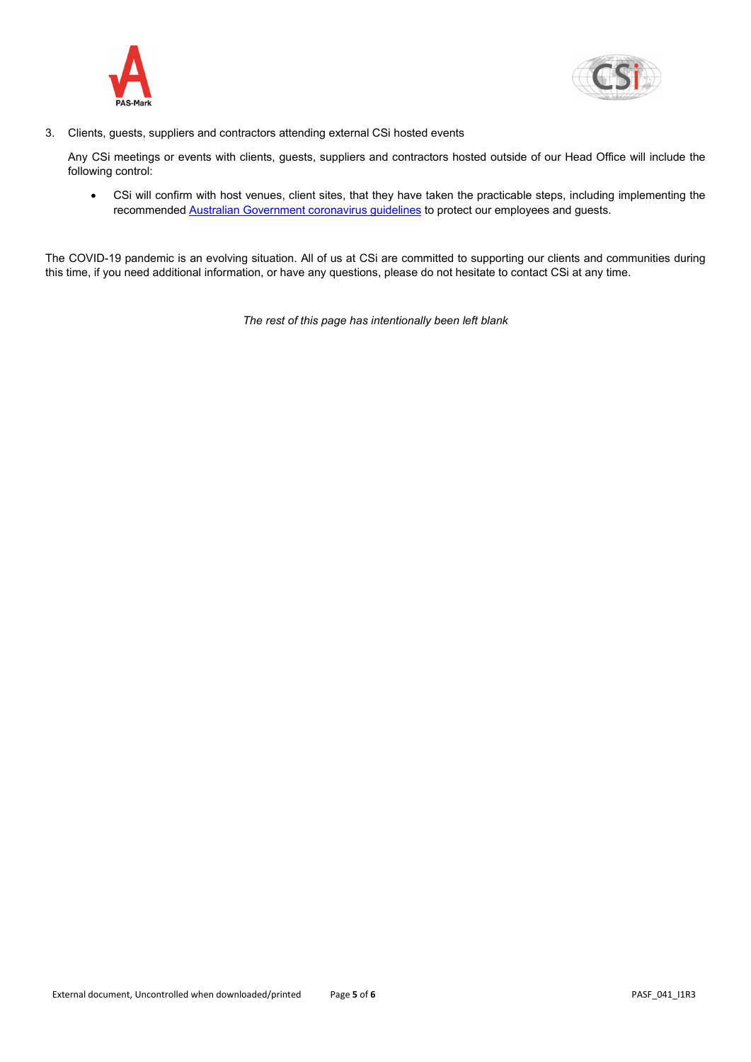



3. Clients, guests, suppliers and contractors attending external CSi hosted events

Any CSi meetings or events with clients, guests, suppliers and contractors hosted outside of our Head Office will include the following control:

• CSi will confirm with host venues, client sites, that they have taken the practicable steps, including implementing the recommended [Australian Government](https://www.health.gov.au/news/health-alerts/novel-coronavirus-2019-ncov-health-alert?utm_source=health.gov.au&utm_medium=redirect&utm_campaign=digital_transformation&utm_content=health-topics/novel-coronavirus-2019-ncov) coronavirus guidelines to protect our employees and guests.

The COVID-19 pandemic is an evolving situation. All of us at CSi are committed to supporting our clients and communities during this time, if you need additional information, or have any questions, please do not hesitate to contact CSi at any time.

*The rest of this page has intentionally been left blank*